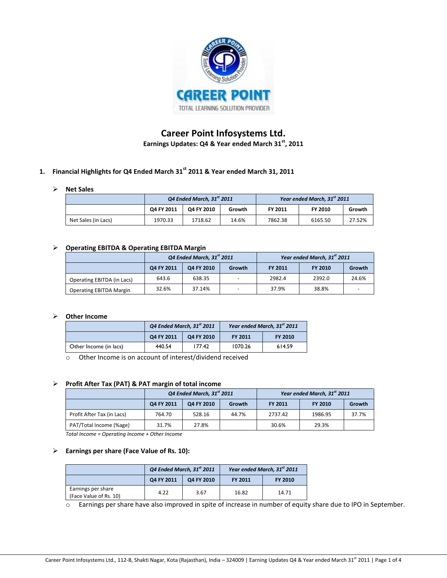

# **Career Point Infosystems Ltd. Earnings Updates: Q4 & Year ended March 31st, 2011**

# **1. Financial Highlights for Q4 Ended March 31st 2011 & Year ended March 31, 2011**

# **Net Sales**

|                     | Q4 Ended March, $31st$ 2011 |            |        |                | Year ended March, 31 <sup>st</sup> 2011 |        |
|---------------------|-----------------------------|------------|--------|----------------|-----------------------------------------|--------|
|                     | Q4 FY 2011                  | O4 FY 2010 | Growth | <b>FY 2011</b> | <b>FY 2010</b>                          | Growth |
| Net Sales (in Lacs) | 1970.33                     | 1718.62    | 14.6%  | 7862.38        | 6165.50                                 | 27.52% |

### **Operating EBITDA & Operating EBITDA Margin**

|                                | Q4 Ended March, 31st 2011 |            |        |                | Year ended March, 31 <sup>st</sup> 2011 |        |
|--------------------------------|---------------------------|------------|--------|----------------|-----------------------------------------|--------|
|                                | Q4 FY 2011                | Q4 FY 2010 | Growth | <b>FY 2011</b> | <b>FY 2010</b>                          | Growth |
| Operating EBITDA (in Lacs)     | 643.6                     | 638.35     |        | 2982.4         | 2392.0                                  | 24.6%  |
| <b>Operating EBITDA Margin</b> | 32.6%                     | 37.14%     |        | 37.9%          | 38.8%                                   |        |

#### **Other Income**

|                        | $Q4$ Ended March, 31st 2011 |        |         | Year ended March, 31 <sup>st</sup> 2011 |
|------------------------|-----------------------------|--------|---------|-----------------------------------------|
|                        | Q4 FY 2011<br>O4 FY 2010    |        | FY 2011 | FY 2010                                 |
| Other Income (in lacs) | 440.54                      | 177.42 | 1070.26 | 614.59                                  |

o Other Income is on account of interest/dividend received

### **Profit After Tax (PAT) & PAT margin of total income**

|                            | Q4 Ended March, 31st 2011 |            |        |                | Year ended March, 31 <sup>st</sup> 2011 |        |
|----------------------------|---------------------------|------------|--------|----------------|-----------------------------------------|--------|
|                            | Q4 FY 2011                | Q4 FY 2010 | Growth | <b>FY 2011</b> | <b>FY 2010</b>                          | Growth |
| Profit After Tax (in Lacs) | 764.70                    | 528.16     | 44.7%  | 2737.42        | 1986.95                                 | 37.7%  |
| PAT/Total Income (%age)    | 31.7%                     | 27.8%      |        | 30.6%          | 29.3%                                   |        |

*Total Income = Operating Income + Other Income*

#### **Earnings per share (Face Value of Rs. 10):**

|                                              | $Q4$ Ended March, $31st$ 2011 |            |                | Year ended March, 31 <sup>st</sup> 2011 |
|----------------------------------------------|-------------------------------|------------|----------------|-----------------------------------------|
|                                              | Q4 FY 2011                    | Q4 FY 2010 | <b>FY 2011</b> | <b>FY 2010</b>                          |
| Earnings per share<br>(Face Value of Rs. 10) | 4.22                          | 3.67       | 16.82          | 14.71                                   |

o Earnings per share have also improved in spite of increase in number of equity share due to IPO in September.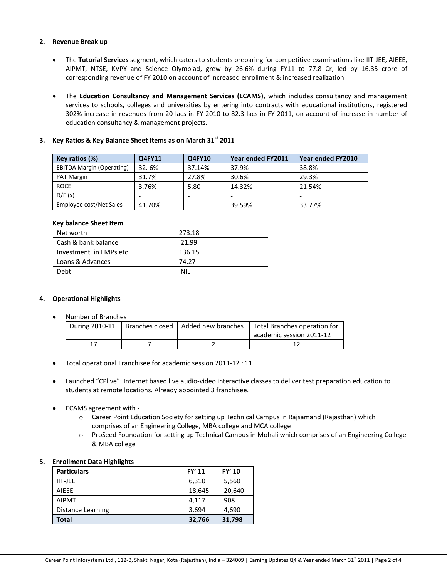### **2. Revenue Break up**

- The **Tutorial Services** segment, which caters to students preparing for competitive examinations like IIT-JEE, AIEEE, AIPMT, NTSE, KVPY and Science Olympiad, grew by 26.6% during FY11 to 77.8 Cr, led by 16.35 crore of corresponding revenue of FY 2010 on account of increased enrollment & increased realization
- The **Education Consultancy and Management Services (ECAMS)**, which includes consultancy and management services to schools, colleges and universities by entering into contracts with educational institutions, registered 302% increase in revenues from 20 lacs in FY 2010 to 82.3 lacs in FY 2011, on account of increase in number of education consultancy & management projects.

# **3. Key Ratios & Key Balance Sheet Items as on March 31st 2011**

| Key ratios (%)                   | Q4FY11 | Q4FY10 | Year ended FY2011 | Year ended FY2010 |
|----------------------------------|--------|--------|-------------------|-------------------|
| <b>EBITDA Margin (Operating)</b> | 32.6%  | 37.14% | 37.9%             | 38.8%             |
| PAT Margin                       | 31.7%  | 27.8%  | 30.6%             | 29.3%             |
| <b>ROCE</b>                      | 3.76%  | 5.80   | 14.32%            | 21.54%            |
| D/E(x)                           |        |        |                   |                   |
| Employee cost/Net Sales          | 41.70% |        | 39.59%            | 33.77%            |

### **Key balance Sheet Item**

| Net worth              | 273.18 |
|------------------------|--------|
| Cash & bank balance    | 21.99  |
| Investment in FMPs etc | 136.15 |
| Loans & Advances       | 74.27  |
| Debt                   | ΝIΙ    |

# **4. Operational Highlights**

Number of Branches

|  | During 2010-11   Branches closed   Added new branches | Total Branches operation for |
|--|-------------------------------------------------------|------------------------------|
|  |                                                       | academic session 2011-12     |
|  |                                                       |                              |

- Total operational Franchisee for academic session 2011-12 : 11
- Launched "CPlive": Internet based live audio-video interactive classes to deliver test preparation education to students at remote locations. Already appointed 3 franchisee.
- ECAMS agreement with
	- o Career Point Education Society for setting up Technical Campus in Rajsamand (Rajasthan) which comprises of an Engineering College, MBA college and MCA college
	- o ProSeed Foundation for setting up Technical Campus in Mohali which comprises of an Engineering College & MBA college

### **5. Enrollment Data Highlights**

| <b>Particulars</b> | FY' 11 | FY' 10 |
|--------------------|--------|--------|
| <b>IIT-JEE</b>     | 6,310  | 5,560  |
| <b>AIFFF</b>       | 18,645 | 20,640 |
| <b>AIPMT</b>       | 4,117  | 908    |
| Distance Learning  | 3,694  | 4,690  |
| Total              | 32,766 | 31,798 |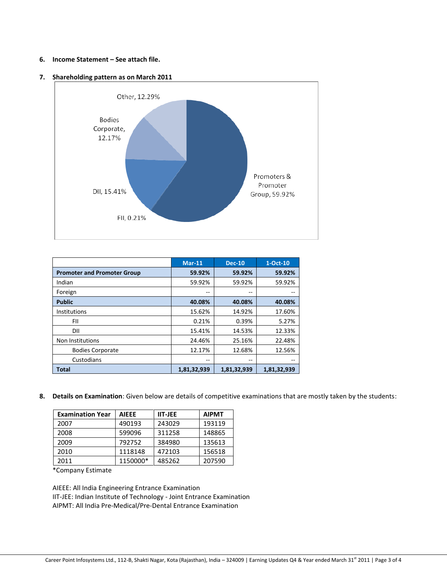### **6. Income Statement – See attach file.**

### **7. Shareholding pattern as on March 2011**



|                                    | $Mar-11$    | <b>Dec-10</b> | $1-Oct-10$  |
|------------------------------------|-------------|---------------|-------------|
| <b>Promoter and Promoter Group</b> | 59.92%      | 59.92%        | 59.92%      |
| Indian                             | 59.92%      | 59.92%        | 59.92%      |
| Foreign                            | --          | --            |             |
| <b>Public</b>                      | 40.08%      | 40.08%        | 40.08%      |
| Institutions                       | 15.62%      | 14.92%        | 17.60%      |
| FII                                | 0.21%       | 0.39%         | 5.27%       |
| DII                                | 15.41%      | 14.53%        | 12.33%      |
| Non Institutions                   | 24.46%      | 25.16%        | 22.48%      |
| <b>Bodies Corporate</b>            | 12.17%      | 12.68%        | 12.56%      |
| Custodians                         | --          | --            |             |
| <b>Total</b>                       | 1,81,32,939 | 1,81,32,939   | 1,81,32,939 |

**8. Details on Examination**: Given below are details of competitive examinations that are mostly taken by the students:

| <b>Examination Year</b> | <b>AIEEE</b> | <b>IIT-JEE</b> | <b>AIPMT</b> |
|-------------------------|--------------|----------------|--------------|
| 2007                    | 490193       | 243029         | 193119       |
| 2008                    | 599096       | 311258         | 148865       |
| 2009                    | 792752       | 384980         | 135613       |
| 2010                    | 1118148      | 472103         | 156518       |
| 2011                    | 1150000*     | 485262         | 207590       |

\*Company Estimate

AIEEE: All India Engineering Entrance Examination IIT-JEE: Indian Institute of Technology - Joint Entrance Examination AIPMT: All India Pre-Medical/Pre-Dental Entrance Examination